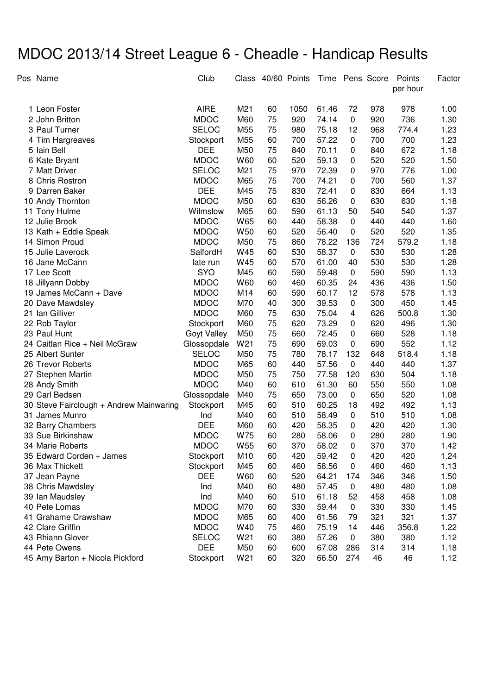## MDOC 2013/14 Street League 6 - Cheadle - Handicap Results

|    | Pos Name                                | Club         |                 | Class 40/60 Points |      |       |           | Time Pens Score | Points<br>per hour | Factor |
|----|-----------------------------------------|--------------|-----------------|--------------------|------|-------|-----------|-----------------|--------------------|--------|
|    | 1 Leon Foster                           | <b>AIRE</b>  | M21             | 60                 | 1050 | 61.46 | 72        | 978             | 978                | 1.00   |
|    | 2 John Britton                          | <b>MDOC</b>  | M60             | 75                 | 920  | 74.14 | $\pmb{0}$ | 920             | 736                | 1.30   |
|    | 3 Paul Turner                           | <b>SELOC</b> | M55             | 75                 | 980  | 75.18 | 12        | 968             | 774.4              | 1.23   |
|    | 4 Tim Hargreaves                        | Stockport    | M55             | 60                 | 700  | 57.22 | 0         | 700             | 700                | 1.23   |
|    | 5 Iain Bell                             | <b>DEE</b>   | M50             | 75                 | 840  | 70.11 | 0         | 840             | 672                | 1.18   |
|    | 6 Kate Bryant                           | <b>MDOC</b>  | W60             | 60                 | 520  | 59.13 | 0         | 520             | 520                | 1.50   |
|    | 7 Matt Driver                           | <b>SELOC</b> | M21             | 75                 | 970  | 72.39 | 0         | 970             | 776                | 1.00   |
|    | 8 Chris Rostron                         | <b>MDOC</b>  | M65             | 75                 | 700  | 74.21 | 0         | 700             | 560                | 1.37   |
|    | 9 Darren Baker                          | <b>DEE</b>   | M45             | 75                 | 830  | 72.41 | 0         | 830             | 664                | 1.13   |
|    | 10 Andy Thornton                        | <b>MDOC</b>  | M50             | 60                 | 630  | 56.26 | 0         | 630             | 630                | 1.18   |
| 11 | Tony Hulme                              | Wilmslow     | M65             | 60                 | 590  | 61.13 | 50        | 540             | 540                | 1.37   |
|    | 12 Julie Brook                          | <b>MDOC</b>  | W65             | 60                 | 440  | 58.38 | 0         | 440             | 440                | 1.60   |
|    | 13 Kath + Eddie Speak                   | <b>MDOC</b>  | W <sub>50</sub> | 60                 | 520  | 56.40 | 0         | 520             | 520                | 1.35   |
|    | 14 Simon Proud                          | <b>MDOC</b>  | M50             | 75                 | 860  | 78.22 | 136       | 724             | 579.2              | 1.18   |
|    | 15 Julie Laverock                       | SalfordH     | W45             | 60                 | 530  | 58.37 | $\pmb{0}$ | 530             | 530                | 1.28   |
|    | 16 Jane McCann                          | late run     | W45             | 60                 | 570  | 61.00 | 40        | 530             | 530                | 1.28   |
|    | 17 Lee Scott                            | <b>SYO</b>   | M45             | 60                 | 590  | 59.48 | $\pmb{0}$ | 590             | 590                | 1.13   |
|    | 18 Jillyann Dobby                       | <b>MDOC</b>  | W60             | 60                 | 460  | 60.35 | 24        | 436             | 436                | 1.50   |
|    | 19 James McCann + Dave                  | <b>MDOC</b>  | M14             | 60                 | 590  | 60.17 | 12        | 578             | 578                | 1.13   |
|    | 20 Dave Mawdsley                        | <b>MDOC</b>  | M70             | 40                 | 300  | 39.53 | 0         | 300             | 450                | 1.45   |
|    | 21 Ian Gilliver                         | <b>MDOC</b>  | M60             | 75                 | 630  | 75.04 | 4         | 626             | 500.8              | 1.30   |
|    | 22 Rob Taylor                           | Stockport    | M60             | 75                 | 620  | 73.29 | 0         | 620             | 496                | 1.30   |
|    | 23 Paul Hunt                            | Goyt Valley  | M50             | 75                 | 660  | 72.45 | 0         | 660             | 528                | 1.18   |
|    | 24 Caitlan Rice + Neil McGraw           | Glossopdale  | W21             | 75                 | 690  | 69.03 | 0         | 690             | 552                | 1.12   |
|    | 25 Albert Sunter                        | <b>SELOC</b> | M50             | 75                 | 780  | 78.17 | 132       | 648             | 518.4              | 1.18   |
|    | 26 Trevor Roberts                       | <b>MDOC</b>  | M65             | 60                 | 440  | 57.56 | 0         | 440             | 440                | 1.37   |
|    | 27 Stephen Martin                       | <b>MDOC</b>  | M50             | 75                 | 750  | 77.58 | 120       | 630             | 504                | 1.18   |
|    | 28 Andy Smith                           | <b>MDOC</b>  | M40             | 60                 | 610  | 61.30 | 60        | 550             | 550                | 1.08   |
|    | 29 Carl Bedsen                          | Glossopdale  | M40             | 75                 | 650  | 73.00 | 0         | 650             | 520                | 1.08   |
|    | 30 Steve Fairclough + Andrew Mainwaring | Stockport    | M45             | 60                 | 510  | 60.25 | 18        | 492             | 492                | 1.13   |
|    | 31 James Munro                          | Ind          | M40             | 60                 | 510  | 58.49 | 0         | 510             | 510                | 1.08   |
| 32 | <b>Barry Chambers</b>                   | <b>DEE</b>   | M60             | 60                 | 420  | 58.35 | 0         | 420             | 420                | 1.30   |
|    | 33 Sue Birkinshaw                       | <b>MDOC</b>  | W75             | 60                 | 280  | 58.06 | 0         | 280             | 280                | 1.90   |
|    | 34 Marie Roberts                        | <b>MDOC</b>  | W <sub>55</sub> | 60                 | 370  | 58.02 | 0         | 370             | 370                | 1.42   |
|    | 35 Edward Corden + James                | Stockport    | M10             | 60                 | 420  | 59.42 | 0         | 420             | 420                | 1.24   |
|    | 36 Max Thickett                         | Stockport    | M45             | 60                 | 460  | 58.56 | 0         | 460             | 460                | 1.13   |
|    | 37 Jean Payne                           | <b>DEE</b>   | W60             | 60                 | 520  | 64.21 | 174       | 346             | 346                | 1.50   |
|    | 38 Chris Mawdsley                       | Ind          | M40             | 60                 | 480  | 57.45 | 0         | 480             | 480                | 1.08   |
|    | 39 Ian Maudsley                         | Ind          | M40             | 60                 | 510  | 61.18 | 52        | 458             | 458                | 1.08   |
|    | 40 Pete Lomas                           | <b>MDOC</b>  | M70             | 60                 | 330  | 59.44 | 0         | 330             | 330                | 1.45   |
|    | 41 Grahame Crawshaw                     | <b>MDOC</b>  | M65             | 60                 | 400  | 61.56 | 79        | 321             | 321                | 1.37   |
|    | 42 Clare Griffin                        | <b>MDOC</b>  | W40             | 75                 | 460  | 75.19 | 14        | 446             | 356.8              | 1.22   |
|    | 43 Rhiann Glover                        | <b>SELOC</b> | W21             | 60                 | 380  | 57.26 | 0         | 380             | 380                | 1.12   |
|    | 44 Pete Owens                           | <b>DEE</b>   | M50             | 60                 | 600  | 67.08 | 286       | 314             | 314                | 1.18   |
|    | 45 Amy Barton + Nicola Pickford         | Stockport    | W21             | 60                 | 320  | 66.50 | 274       | 46              | 46                 | 1.12   |
|    |                                         |              |                 |                    |      |       |           |                 |                    |        |